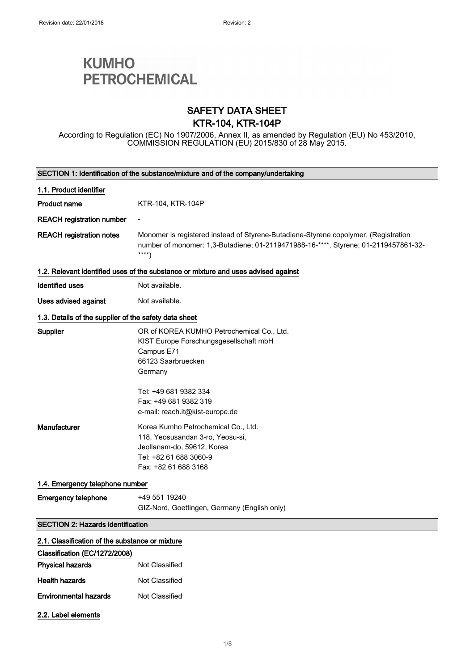# **KUMHO PETROCHEMICAL**

### SAFETY DATA SHEET KTR-104, KTR-104P

According to Regulation (EC) No 1907/2006, Annex II, as amended by Regulation (EU) No 453/2010, COMMISSION REGULATION (EU) 2015/830 of 28 May 2015.

| SECTION 1: Identification of the substance/mixture and of the company/undertaking |                                                                                                                                                                                                                         |
|-----------------------------------------------------------------------------------|-------------------------------------------------------------------------------------------------------------------------------------------------------------------------------------------------------------------------|
| 1.1. Product identifier                                                           |                                                                                                                                                                                                                         |
| <b>Product name</b>                                                               | KTR-104, KTR-104P                                                                                                                                                                                                       |
| <b>REACH registration number</b>                                                  |                                                                                                                                                                                                                         |
| <b>REACH registration notes</b>                                                   | Monomer is registered instead of Styrene-Butadiene-Styrene copolymer. (Registration<br>number of monomer: 1,3-Butadiene; 01-2119471988-16-****, Styrene; 01-2119457861-32-<br>$***$                                     |
|                                                                                   | 1.2. Relevant identified uses of the substance or mixture and uses advised against                                                                                                                                      |
| <b>Identified uses</b>                                                            | Not available.                                                                                                                                                                                                          |
| Uses advised against                                                              | Not available.                                                                                                                                                                                                          |
| 1.3. Details of the supplier of the safety data sheet                             |                                                                                                                                                                                                                         |
| <b>Supplier</b>                                                                   | OR of KOREA KUMHO Petrochemical Co., Ltd.<br>KIST Europe Forschungsgesellschaft mbH<br>Campus E71<br>66123 Saarbruecken<br>Germany<br>Tel: +49 681 9382 334<br>Fax: +49 681 9382 319<br>e-mail: reach.it@kist-europe.de |
| Manufacturer                                                                      | Korea Kumho Petrochemical Co., Ltd.<br>118, Yeosusandan 3-ro, Yeosu-si,<br>Jeollanam-do, 59612, Korea<br>Tel: +82 61 688 3060-9<br>Fax: +82 61 688 3168                                                                 |
| 1.4. Emergency telephone number                                                   |                                                                                                                                                                                                                         |
| <b>Emergency telephone</b>                                                        | +49 551 19240<br>GIZ-Nord, Goettingen, Germany (English only)                                                                                                                                                           |
| <b>SECTION 2: Hazards identification</b>                                          |                                                                                                                                                                                                                         |
| 2.1. Classification of the substance or mixture                                   |                                                                                                                                                                                                                         |
| Classification (EC/1272/2008)                                                     |                                                                                                                                                                                                                         |
| <b>Physical hazards</b>                                                           | <b>Not Classified</b>                                                                                                                                                                                                   |
| <b>Health hazards</b>                                                             | Not Classified                                                                                                                                                                                                          |
| <b>Environmental hazards</b>                                                      | Not Classified                                                                                                                                                                                                          |
| 2.2. Label elements                                                               |                                                                                                                                                                                                                         |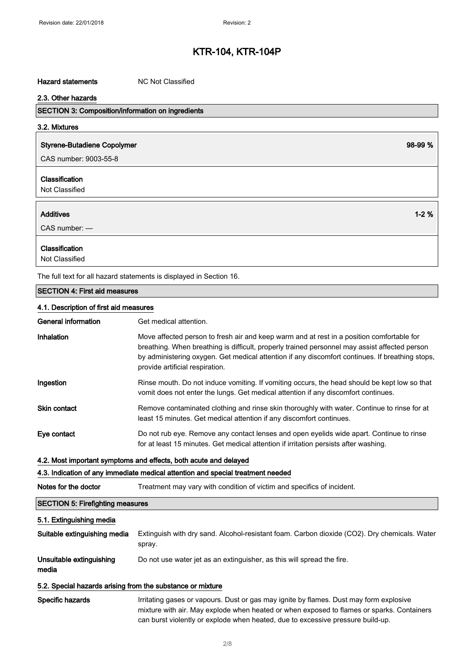#### Hazard statements MC Not Classified

#### 2.3. Other hazards

| 2.3. Other hazards                                       |         |
|----------------------------------------------------------|---------|
| <b>SECTION 3: Composition/information on ingredients</b> |         |
| 3.2. Mixtures                                            |         |
| <b>Styrene-Butadiene Copolymer</b>                       | 98-99 % |
| CAS number: 9003-55-8                                    |         |
| Classification<br>Not Classified                         |         |
|                                                          |         |

## Additives 1-2 % CAS number: — Classification Not Classified

The full text for all hazard statements is displayed in Section 16.

#### SECTION 4: First aid measures

#### 4.1. Description of first aid measures

| General information | Get medical attention.                                                                                                                                                                                                                                                                                                           |
|---------------------|----------------------------------------------------------------------------------------------------------------------------------------------------------------------------------------------------------------------------------------------------------------------------------------------------------------------------------|
| Inhalation          | Move affected person to fresh air and keep warm and at rest in a position comfortable for<br>breathing. When breathing is difficult, properly trained personnel may assist affected person<br>by administering oxygen. Get medical attention if any discomfort continues. If breathing stops,<br>provide artificial respiration. |
| Ingestion           | Rinse mouth. Do not induce vomiting. If vomiting occurs, the head should be kept low so that<br>vomit does not enter the lungs. Get medical attention if any discomfort continues.                                                                                                                                               |
| <b>Skin contact</b> | Remove contaminated clothing and rinse skin thoroughly with water. Continue to rinse for at<br>least 15 minutes. Get medical attention if any discomfort continues.                                                                                                                                                              |
| Eye contact         | Do not rub eye. Remove any contact lenses and open eyelids wide apart. Continue to rinse<br>for at least 15 minutes. Get medical attention if irritation persists after washing.                                                                                                                                                 |

#### 4.2. Most important symptoms and effects, both acute and delayed

### 4.3. Indication of any immediate medical attention and special treatment needed

| Notes for the doctor | Treatment may vary with condition of victim and specifics of incident. |
|----------------------|------------------------------------------------------------------------|
|----------------------|------------------------------------------------------------------------|

### SECTION 5: Firefighting measures

#### 5.1. Extinguishing media

| Suitable extinguishing media      | Extinguish with dry sand. Alcohol-resistant foam. Carbon dioxide (CO2). Dry chemicals. Water<br>spray. |
|-----------------------------------|--------------------------------------------------------------------------------------------------------|
| Unsuitable extinguishing<br>media | Do not use water jet as an extinguisher, as this will spread the fire.                                 |
|                                   |                                                                                                        |

### 5.2. Special hazards arising from the substance or mixture

Specific hazards **Integrational Irritating gases or vapours.** Dust or gas may ignite by flames. Dust may form explosive mixture with air. May explode when heated or when exposed to flames or sparks. Containers can burst violently or explode when heated, due to excessive pressure build-up.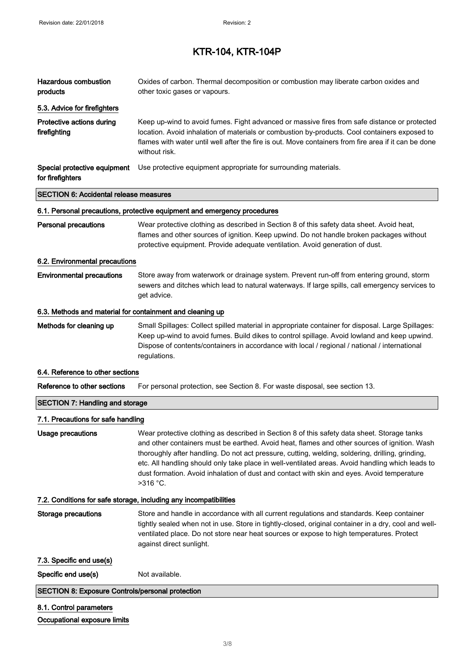| Hazardous combustion<br>products                          | Oxides of carbon. Thermal decomposition or combustion may liberate carbon oxides and<br>other toxic gases or vapours.                                                                                                                                                                                                                                                                                                                                                                                           |
|-----------------------------------------------------------|-----------------------------------------------------------------------------------------------------------------------------------------------------------------------------------------------------------------------------------------------------------------------------------------------------------------------------------------------------------------------------------------------------------------------------------------------------------------------------------------------------------------|
| 5.3. Advice for firefighters                              |                                                                                                                                                                                                                                                                                                                                                                                                                                                                                                                 |
| Protective actions during<br>firefighting                 | Keep up-wind to avoid fumes. Fight advanced or massive fires from safe distance or protected<br>location. Avoid inhalation of materials or combustion by-products. Cool containers exposed to<br>flames with water until well after the fire is out. Move containers from fire area if it can be done<br>without risk.                                                                                                                                                                                          |
| Special protective equipment<br>for firefighters          | Use protective equipment appropriate for surrounding materials.                                                                                                                                                                                                                                                                                                                                                                                                                                                 |
| <b>SECTION 6: Accidental release measures</b>             |                                                                                                                                                                                                                                                                                                                                                                                                                                                                                                                 |
|                                                           | 6.1. Personal precautions, protective equipment and emergency procedures                                                                                                                                                                                                                                                                                                                                                                                                                                        |
| <b>Personal precautions</b>                               | Wear protective clothing as described in Section 8 of this safety data sheet. Avoid heat,<br>flames and other sources of ignition. Keep upwind. Do not handle broken packages without<br>protective equipment. Provide adequate ventilation. Avoid generation of dust.                                                                                                                                                                                                                                          |
| 6.2. Environmental precautions                            |                                                                                                                                                                                                                                                                                                                                                                                                                                                                                                                 |
| <b>Environmental precautions</b>                          | Store away from waterwork or drainage system. Prevent run-off from entering ground, storm<br>sewers and ditches which lead to natural waterways. If large spills, call emergency services to<br>get advice.                                                                                                                                                                                                                                                                                                     |
| 6.3. Methods and material for containment and cleaning up |                                                                                                                                                                                                                                                                                                                                                                                                                                                                                                                 |
| Methods for cleaning up                                   | Small Spillages: Collect spilled material in appropriate container for disposal. Large Spillages:<br>Keep up-wind to avoid fumes. Build dikes to control spillage. Avoid lowland and keep upwind.<br>Dispose of contents/containers in accordance with local / regional / national / international<br>regulations.                                                                                                                                                                                              |
| 6.4. Reference to other sections                          |                                                                                                                                                                                                                                                                                                                                                                                                                                                                                                                 |
| Reference to other sections                               | For personal protection, see Section 8. For waste disposal, see section 13.                                                                                                                                                                                                                                                                                                                                                                                                                                     |
| <b>SECTION 7: Handling and storage</b>                    |                                                                                                                                                                                                                                                                                                                                                                                                                                                                                                                 |
| 7.1. Precautions for safe handling                        |                                                                                                                                                                                                                                                                                                                                                                                                                                                                                                                 |
| <b>Usage precautions</b>                                  | Wear protective clothing as described in Section 8 of this safety data sheet. Storage tanks<br>and other containers must be earthed. Avoid heat, flames and other sources of ignition. Wash<br>thoroughly after handling. Do not act pressure, cutting, welding, soldering, drilling, grinding,<br>etc. All handling should only take place in well-ventilated areas. Avoid handling which leads to<br>dust formation. Avoid inhalation of dust and contact with skin and eyes. Avoid temperature<br>$>316$ °C. |
|                                                           | 7.2. Conditions for safe storage, including any incompatibilities                                                                                                                                                                                                                                                                                                                                                                                                                                               |
| <b>Storage precautions</b>                                | Store and handle in accordance with all current regulations and standards. Keep container<br>tightly sealed when not in use. Store in tightly-closed, original container in a dry, cool and well-<br>ventilated place. Do not store near heat sources or expose to high temperatures. Protect<br>against direct sunlight.                                                                                                                                                                                       |
| 7.3. Specific end use(s)                                  |                                                                                                                                                                                                                                                                                                                                                                                                                                                                                                                 |
| Specific end use(s)                                       | Not available.                                                                                                                                                                                                                                                                                                                                                                                                                                                                                                  |
| <b>SECTION 8: Exposure Controls/personal protection</b>   |                                                                                                                                                                                                                                                                                                                                                                                                                                                                                                                 |
| 8.1. Control parameters                                   |                                                                                                                                                                                                                                                                                                                                                                                                                                                                                                                 |
| Occupational exposure limits                              |                                                                                                                                                                                                                                                                                                                                                                                                                                                                                                                 |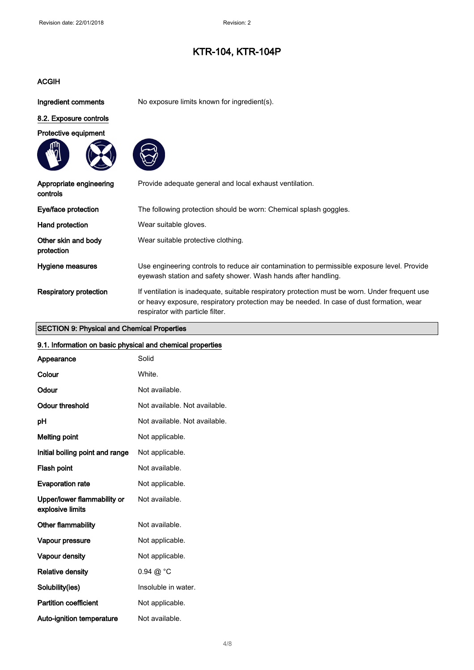### ACGIH

Ingredient comments No exposure limits known for ingredient(s).

## 8.2. Exposure controls







| Appropriate engineering<br>controls | Provide adequate general and local exhaust ventilation.                                                                                                                                                                        |
|-------------------------------------|--------------------------------------------------------------------------------------------------------------------------------------------------------------------------------------------------------------------------------|
| Eye/face protection                 | The following protection should be worn: Chemical splash goggles.                                                                                                                                                              |
| Hand protection                     | Wear suitable gloves.                                                                                                                                                                                                          |
| Other skin and body<br>protection   | Wear suitable protective clothing.                                                                                                                                                                                             |
| Hygiene measures                    | Use engineering controls to reduce air contamination to permissible exposure level. Provide<br>eyewash station and safety shower. Wash hands after handling.                                                                   |
| <b>Respiratory protection</b>       | If ventilation is inadequate, suitable respiratory protection must be worn. Under frequent use<br>or heavy exposure, respiratory protection may be needed. In case of dust formation, wear<br>respirator with particle filter. |

### SECTION 9: Physical and Chemical Properties

## 9.1. Information on basic physical and chemical properties

| Appearance                                      | Solid                         |
|-------------------------------------------------|-------------------------------|
| Colour                                          | White.                        |
| Odour                                           | Not available.                |
| <b>Odour threshold</b>                          | Not available. Not available. |
| pH                                              | Not available. Not available. |
| Melting point                                   | Not applicable.               |
| Initial boiling point and range                 | Not applicable.               |
| Flash point                                     | Not available.                |
| <b>Evaporation rate</b>                         | Not applicable.               |
| Upper/lower flammability or<br>explosive limits | Not available.                |
| Other flammability                              | Not available.                |
| Vapour pressure                                 | Not applicable.               |
| Vapour density                                  | Not applicable.               |
| <b>Relative density</b>                         | $0.94 \ @ ^{\circ}C$          |
| Solubility(ies)                                 | Insoluble in water.           |
| <b>Partition coefficient</b>                    | Not applicable.               |
| Auto-ignition temperature                       | Not available.                |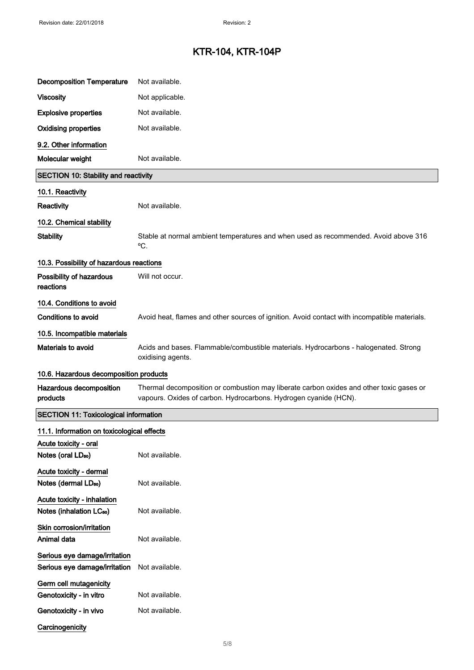| <b>Decomposition Temperature</b>                               | Not available.                                                                                                                                              |  |
|----------------------------------------------------------------|-------------------------------------------------------------------------------------------------------------------------------------------------------------|--|
| <b>Viscosity</b>                                               | Not applicable.                                                                                                                                             |  |
| <b>Explosive properties</b>                                    | Not available.                                                                                                                                              |  |
| <b>Oxidising properties</b>                                    | Not available.                                                                                                                                              |  |
| 9.2. Other information                                         |                                                                                                                                                             |  |
| Molecular weight                                               | Not available.                                                                                                                                              |  |
| <b>SECTION 10: Stability and reactivity</b>                    |                                                                                                                                                             |  |
| 10.1. Reactivity                                               |                                                                                                                                                             |  |
| Reactivity                                                     | Not available.                                                                                                                                              |  |
| 10.2. Chemical stability                                       |                                                                                                                                                             |  |
| <b>Stability</b>                                               | Stable at normal ambient temperatures and when used as recommended. Avoid above 316<br>°C.                                                                  |  |
| 10.3. Possibility of hazardous reactions                       |                                                                                                                                                             |  |
| Possibility of hazardous<br>reactions                          | Will not occur.                                                                                                                                             |  |
| 10.4. Conditions to avoid                                      |                                                                                                                                                             |  |
| <b>Conditions to avoid</b>                                     | Avoid heat, flames and other sources of ignition. Avoid contact with incompatible materials.                                                                |  |
| 10.5. Incompatible materials                                   |                                                                                                                                                             |  |
| Materials to avoid                                             | Acids and bases. Flammable/combustible materials. Hydrocarbons - halogenated. Strong<br>oxidising agents.                                                   |  |
| 10.6. Hazardous decomposition products                         |                                                                                                                                                             |  |
| Hazardous decomposition<br>products                            | Thermal decomposition or combustion may liberate carbon oxides and other toxic gases or<br>vapours. Oxides of carbon. Hydrocarbons. Hydrogen cyanide (HCN). |  |
| <b>SECTION 11: Toxicological information</b>                   |                                                                                                                                                             |  |
| 11.1. Information on toxicological effects                     |                                                                                                                                                             |  |
| Acute toxicity - oral<br>Notes (oral LD <sub>50</sub> )        | Not available.                                                                                                                                              |  |
| Acute toxicity - dermal                                        |                                                                                                                                                             |  |
| Notes (dermal LD <sub>50</sub> )                               | Not available.                                                                                                                                              |  |
| Acute toxicity - inhalation                                    |                                                                                                                                                             |  |
| Notes (inhalation LC <sub>50</sub> )                           | Not available.                                                                                                                                              |  |
| Skin corrosion/irritation<br>Animal data                       | Not available.                                                                                                                                              |  |
| Serious eye damage/irritation<br>Serious eye damage/irritation | Not available.                                                                                                                                              |  |
| Germ cell mutagenicity                                         |                                                                                                                                                             |  |
| Genotoxicity - in vitro                                        | Not available.                                                                                                                                              |  |
| Genotoxicity - in vivo                                         | Not available.                                                                                                                                              |  |
| Carcinogenicity                                                |                                                                                                                                                             |  |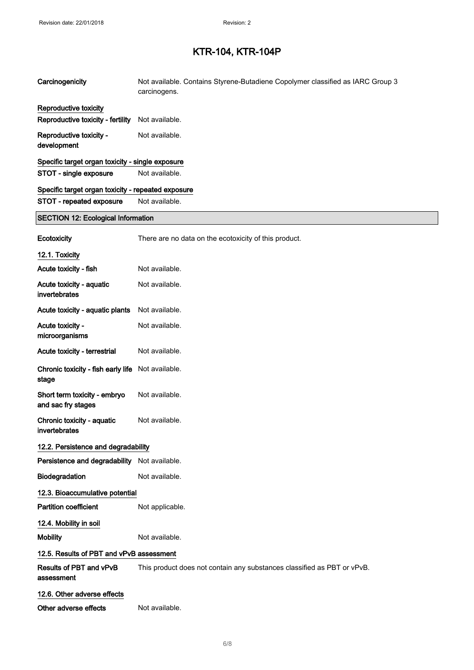| Carcinogenicity                                    | Not available. Contains Styrene-Butadiene Copolymer classified as IARC Group 3<br>carcinogens. |
|----------------------------------------------------|------------------------------------------------------------------------------------------------|
| Reproductive toxicity                              |                                                                                                |
| Reproductive toxicity - fertility                  | Not available.                                                                                 |
| Reproductive toxicity -<br>development             | Not available.                                                                                 |
| Specific target organ toxicity - single exposure   |                                                                                                |
| STOT - single exposure                             | Not available.                                                                                 |
| Specific target organ toxicity - repeated exposure |                                                                                                |
| STOT - repeated exposure                           | Not available.                                                                                 |
| <b>SECTION 12: Ecological Information</b>          |                                                                                                |
| Ecotoxicity                                        | There are no data on the ecotoxicity of this product.                                          |
| 12.1. Toxicity                                     |                                                                                                |
| Acute toxicity - fish                              | Not available.                                                                                 |
| Acute toxicity - aquatic<br>invertebrates          | Not available.                                                                                 |
| Acute toxicity - aquatic plants                    | Not available.                                                                                 |
| Acute toxicity -<br>microorganisms                 | Not available.                                                                                 |
| Acute toxicity - terrestrial                       | Not available.                                                                                 |
| Chronic toxicity - fish early life<br>stage        | Not available.                                                                                 |
| Short term toxicity - embryo<br>and sac fry stages | Not available.                                                                                 |
| Chronic toxicity - aquatic<br>invertebrates        | Not available.                                                                                 |
| 12.2. Persistence and degradability                |                                                                                                |
| Persistence and degradability Not available.       |                                                                                                |
| Biodegradation                                     | Not available.                                                                                 |
| 12.3. Bioaccumulative potential                    |                                                                                                |
| <b>Partition coefficient</b>                       | Not applicable.                                                                                |
| 12.4. Mobility in soil                             |                                                                                                |
| <b>Mobility</b>                                    | Not available.                                                                                 |
| 12.5. Results of PBT and vPvB assessment           |                                                                                                |
| Results of PBT and vPvB<br>assessment              | This product does not contain any substances classified as PBT or vPvB.                        |
| 12.6. Other adverse effects                        |                                                                                                |
| Other adverse effects                              | Not available.                                                                                 |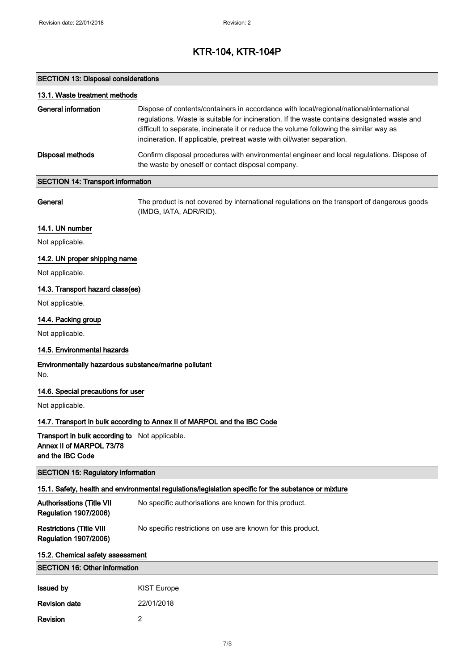### SECTION 13: Disposal considerations

Revision 2

| 13.1. Waste treatment methods                                                                  |                                                                                                                                                                                                                                                                                                                                                            |  |
|------------------------------------------------------------------------------------------------|------------------------------------------------------------------------------------------------------------------------------------------------------------------------------------------------------------------------------------------------------------------------------------------------------------------------------------------------------------|--|
| <b>General information</b>                                                                     | Dispose of contents/containers in accordance with local/regional/national/international<br>regulations. Waste is suitable for incineration. If the waste contains designated waste and<br>difficult to separate, incinerate it or reduce the volume following the similar way as<br>incineration. If applicable, pretreat waste with oil/water separation. |  |
| <b>Disposal methods</b>                                                                        | Confirm disposal procedures with environmental engineer and local regulations. Dispose of<br>the waste by oneself or contact disposal company.                                                                                                                                                                                                             |  |
| <b>SECTION 14: Transport information</b>                                                       |                                                                                                                                                                                                                                                                                                                                                            |  |
| General                                                                                        | The product is not covered by international regulations on the transport of dangerous goods<br>(IMDG, IATA, ADR/RID).                                                                                                                                                                                                                                      |  |
| 14.1. UN number                                                                                |                                                                                                                                                                                                                                                                                                                                                            |  |
| Not applicable.                                                                                |                                                                                                                                                                                                                                                                                                                                                            |  |
| 14.2. UN proper shipping name                                                                  |                                                                                                                                                                                                                                                                                                                                                            |  |
| Not applicable.                                                                                |                                                                                                                                                                                                                                                                                                                                                            |  |
| 14.3. Transport hazard class(es)                                                               |                                                                                                                                                                                                                                                                                                                                                            |  |
| Not applicable.                                                                                |                                                                                                                                                                                                                                                                                                                                                            |  |
| 14.4. Packing group                                                                            |                                                                                                                                                                                                                                                                                                                                                            |  |
| Not applicable.                                                                                |                                                                                                                                                                                                                                                                                                                                                            |  |
| 14.5. Environmental hazards                                                                    |                                                                                                                                                                                                                                                                                                                                                            |  |
| Environmentally hazardous substance/marine pollutant<br>No.                                    |                                                                                                                                                                                                                                                                                                                                                            |  |
| 14.6. Special precautions for user                                                             |                                                                                                                                                                                                                                                                                                                                                            |  |
| Not applicable.                                                                                |                                                                                                                                                                                                                                                                                                                                                            |  |
|                                                                                                | 14.7. Transport in bulk according to Annex II of MARPOL and the IBC Code                                                                                                                                                                                                                                                                                   |  |
| Transport in bulk according to Not applicable.<br>Annex II of MARPOL 73/78<br>and the IBC Code |                                                                                                                                                                                                                                                                                                                                                            |  |
| <b>SECTION 15: Regulatory information</b>                                                      |                                                                                                                                                                                                                                                                                                                                                            |  |
|                                                                                                | 15.1. Safety, health and environmental regulations/legislation specific for the substance or mixture                                                                                                                                                                                                                                                       |  |
| <b>Authorisations (Title VII</b><br><b>Regulation 1907/2006)</b>                               | No specific authorisations are known for this product.                                                                                                                                                                                                                                                                                                     |  |
| <b>Restrictions (Title VIII</b><br><b>Regulation 1907/2006)</b>                                | No specific restrictions on use are known for this product.                                                                                                                                                                                                                                                                                                |  |
| 15.2. Chemical safety assessment                                                               |                                                                                                                                                                                                                                                                                                                                                            |  |
| <b>SECTION 16: Other information</b>                                                           |                                                                                                                                                                                                                                                                                                                                                            |  |
| <b>Issued by</b>                                                                               | <b>KIST Europe</b>                                                                                                                                                                                                                                                                                                                                         |  |
| <b>Revision date</b>                                                                           | 22/01/2018                                                                                                                                                                                                                                                                                                                                                 |  |